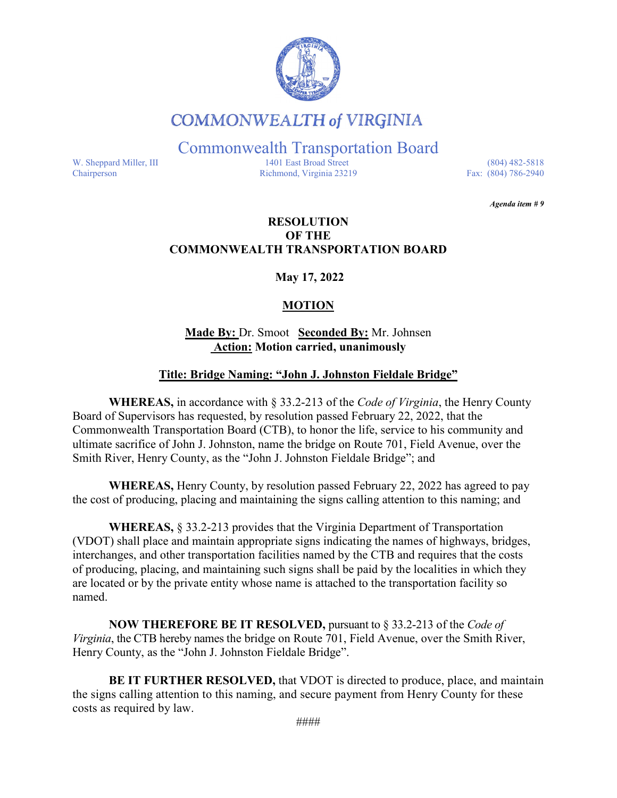

## **COMMONWEALTH of VIRGINIA**

Commonwealth Transportation Board

W. Sheppard Miller, III 1401 East Broad Street (804) 482-5818<br>Chairperson Richmond, Virginia 23219 Fax: (804) 786-2940 Richmond, Virginia 23219

*Agenda item # 9* 

#### **RESOLUTION OF THE COMMONWEALTH TRANSPORTATION BOARD**

**May 17, 2022**

### **MOTION**

#### **Made By:** Dr. Smoot **Seconded By:** Mr. Johnsen **Action: Motion carried, unanimously**

#### **Title: Bridge Naming: "John J. Johnston Fieldale Bridge"**

**WHEREAS,** in accordance with § 33.2-213 of the *Code of Virginia*, the Henry County Board of Supervisors has requested, by resolution passed February 22, 2022, that the Commonwealth Transportation Board (CTB), to honor the life, service to his community and ultimate sacrifice of John J. Johnston, name the bridge on Route 701, Field Avenue, over the Smith River, Henry County, as the "John J. Johnston Fieldale Bridge"; and

**WHEREAS,** Henry County, by resolution passed February 22, 2022 has agreed to pay the cost of producing, placing and maintaining the signs calling attention to this naming; and

**WHEREAS,** § 33.2-213 provides that the Virginia Department of Transportation (VDOT) shall place and maintain appropriate signs indicating the names of highways, bridges, interchanges, and other transportation facilities named by the CTB and requires that the costs of producing, placing, and maintaining such signs shall be paid by the localities in which they are located or by the private entity whose name is attached to the transportation facility so named.

**NOW THEREFORE BE IT RESOLVED,** pursuant to § 33.2-213 of the *Code of Virginia*, the CTB hereby names the bridge on Route 701, Field Avenue, over the Smith River, Henry County, as the "John J. Johnston Fieldale Bridge".

**BE IT FURTHER RESOLVED,** that VDOT is directed to produce, place, and maintain the signs calling attention to this naming, and secure payment from Henry County for these costs as required by law.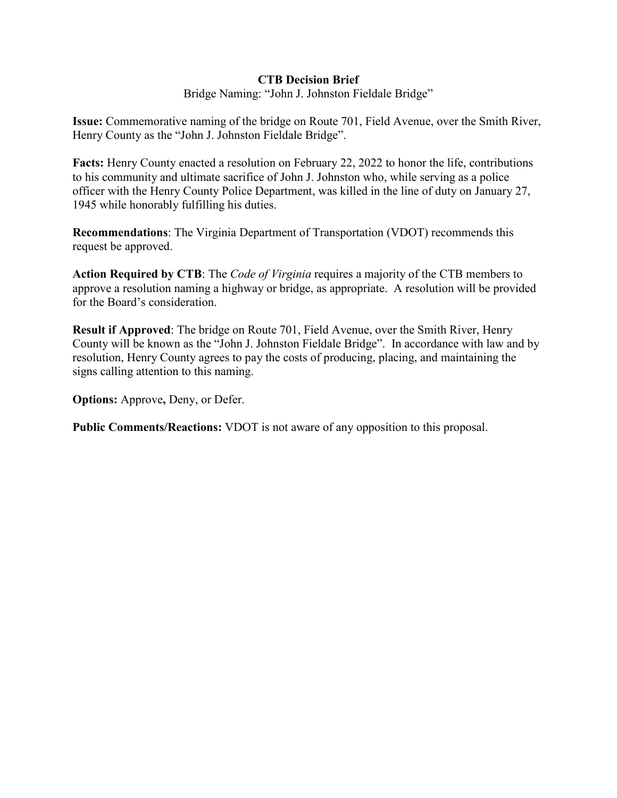#### **CTB Decision Brief**

Bridge Naming: "John J. Johnston Fieldale Bridge"

**Issue:** Commemorative naming of the bridge on Route 701, Field Avenue, over the Smith River, Henry County as the "John J. Johnston Fieldale Bridge".

**Facts:** Henry County enacted a resolution on February 22, 2022 to honor the life, contributions to his community and ultimate sacrifice of John J. Johnston who, while serving as a police officer with the Henry County Police Department, was killed in the line of duty on January 27, 1945 while honorably fulfilling his duties.

**Recommendations**: The Virginia Department of Transportation (VDOT) recommends this request be approved.

**Action Required by CTB**: The *Code of Virginia* requires a majority of the CTB members to approve a resolution naming a highway or bridge, as appropriate. A resolution will be provided for the Board's consideration.

**Result if Approved**: The bridge on Route 701, Field Avenue, over the Smith River, Henry County will be known as the "John J. Johnston Fieldale Bridge". In accordance with law and by resolution, Henry County agrees to pay the costs of producing, placing, and maintaining the signs calling attention to this naming.

**Options:** Approve**,** Deny, or Defer.

**Public Comments/Reactions:** VDOT is not aware of any opposition to this proposal.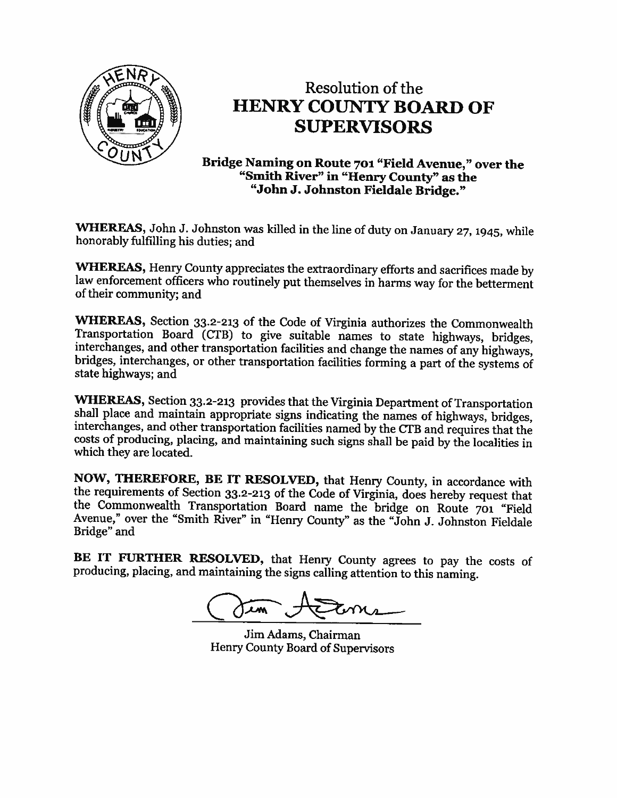

# Resolution of the **HENRY COUNTY BOARD OF SUPERVISORS**

Bridge Naming on Route 701 "Field Avenue," over the "Smith River" in "Henry County" as the "John J. Johnston Fieldale Bridge."

WHEREAS, John J. Johnston was killed in the line of duty on January 27, 1945, while honorably fulfilling his duties; and

WHEREAS, Henry County appreciates the extraordinary efforts and sacrifices made by law enforcement officers who routinely put themselves in harms way for the betterment of their community; and

WHEREAS, Section 33.2-213 of the Code of Virginia authorizes the Commonwealth Transportation Board (CTB) to give suitable names to state highways, bridges, interchanges, and other transportation facilities and change the names of any highways, bridges, interchanges, or other transportation facilities forming a part of the systems of state highways; and

WHEREAS, Section 33.2-213 provides that the Virginia Department of Transportation shall place and maintain appropriate signs indicating the names of highways, bridges, interchanges, and other transportation facilities named by the CTB and requires that the costs of producing, placing, and maintaining such signs shall be paid by the localities in which they are located.

NOW, THEREFORE, BE IT RESOLVED, that Henry County, in accordance with the requirements of Section 33.2-213 of the Code of Virginia, does hereby request that the Commonwealth Transportation Board name the bridge on Route 701 "Field Avenue," over the "Smith River" in "Henry County" as the "John J. Johnston Fieldale Bridge" and

BE IT FURTHER RESOLVED, that Henry County agrees to pay the costs of producing, placing, and maintaining the signs calling attention to this naming.

Jim Adams, Chairman Henry County Board of Supervisors